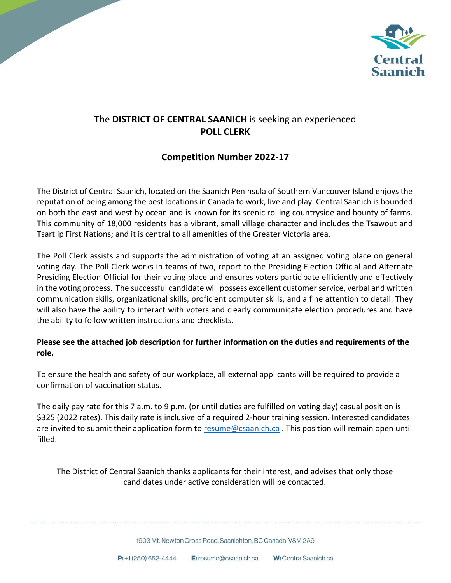

## The **DISTRICT OF CENTRAL SAANICH** is seeking an experienced **POLL CLERK**

## **Competition Number 2022-17**

The District of Central Saanich, located on the Saanich Peninsula of Southern Vancouver Island enjoys the reputation of being among the best locations in Canada to work, live and play. Central Saanich is bounded on both the east and west by ocean and is known for its scenic rolling countryside and bounty of farms. This community of 18,000 residents has a vibrant, small village character and includes the Tsawout and Tsartlip First Nations; and it is central to all amenities of the Greater Victoria area.

The Poll Clerk assists and supports the administration of voting at an assigned voting place on general voting day. The Poll Clerk works in teams of two, report to the Presiding Election Official and Alternate Presiding Election Official for their voting place and ensures voters participate efficiently and effectively in the voting process. The successful candidate will possess excellent customer service, verbal and written communication skills, organizational skills, proficient computer skills, and a fine attention to detail. They will also have the ability to interact with voters and clearly communicate election procedures and have the ability to follow written instructions and checklists.

### **Please see the attached job description for further information on the duties and requirements of the role.**

To ensure the health and safety of our workplace, all external applicants will be required to provide a confirmation of vaccination status.

The daily pay rate for this 7 a.m. to 9 p.m. (or until duties are fulfilled on voting day) casual position is \$325 (2022 rates). This daily rate is inclusive of a required 2-hour training session. Interested candidates are invited to submit their application form to [resume@csaanich.ca](mailto:resume@csaanich.ca). This position will remain open until filled.

The District of Central Saanich thanks applicants for their interest, and advises that only those candidates under active consideration will be contacted.

1903 Mt. Newton Cross Road. Saanichton, BC Canada V8M 2A9